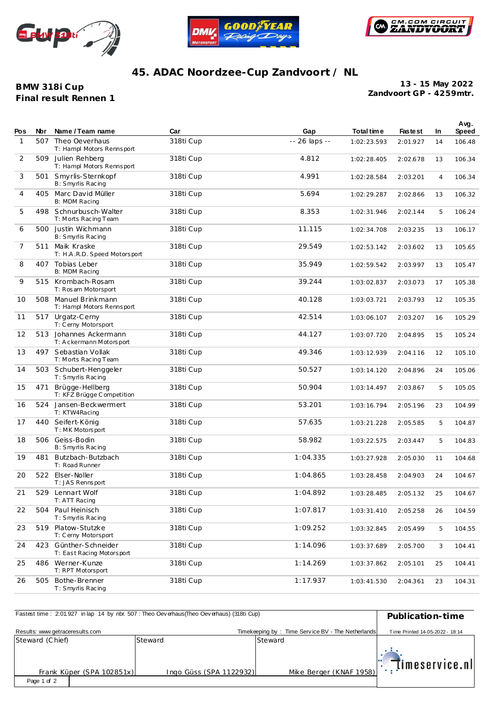





## **45. ADAC Noordzee-Cup Zandvoort / NL**

## **BMW 318i Cup Final result Rennen 1**

**Zandvoort GP - 4259mtr. 13 - 15 May 2022**

| Pos          | Nbr | Name / Team name                                  | Car       | Gap           | Total time  | <b>Fastest</b> | In | Avg.<br>Speed |
|--------------|-----|---------------------------------------------------|-----------|---------------|-------------|----------------|----|---------------|
| $\mathbf{1}$ | 507 | Theo Oeverhaus<br>T: Hampl Motors Rennsport       | 318ti Cup | -- 26 laps -- | 1:02:23.593 | 2:01.927       | 14 | 106.48        |
| 2            | 509 | Julien Rehberg<br>T: Hampl Motors Rennsport       | 318ti Cup | 4.812         | 1:02:28.405 | 2:02.678       | 13 | 106.34        |
| 3            | 501 | Smyrlis-Sternkopf<br>B: Smyrlis Racing            | 318ti Cup | 4.991         | 1:02:28.584 | 2:03.201       | 4  | 106.34        |
| 4            |     | 405 Marc David Müller<br>B: MDM Racing            | 318ti Cup | 5.694         | 1:02:29.287 | 2:02.866       | 13 | 106.32        |
| 5            | 498 | Schnurbusch-Walter<br>T: Morts Racing Team        | 318ti Cup | 8.353         | 1:02:31.946 | 2:02.144       | 5  | 106.24        |
| 6            | 500 | Justin Wichmann<br>B: Smyrlis Racing              | 318ti Cup | 11.115        | 1:02:34.708 | 2:03.235       | 13 | 106.17        |
| 7            | 511 | Maik Kraske<br>T: H.A.R.D. Speed Motorsport       | 318ti Cup | 29.549        | 1:02:53.142 | 2:03.602       | 13 | 105.65        |
| 8            | 407 | Tobias Leber<br>B: MDM Racing                     | 318ti Cup | 35.949        | 1:02:59.542 | 2:03.997       | 13 | 105.47        |
| 9            | 515 | Krombach-Rosam<br>T: Rosam Motorsport             | 318ti Cup | 39.244        | 1:03:02.837 | 2:03.073       | 17 | 105.38        |
| 10           |     | 508 Manuel Brinkmann<br>T: Hampl Motors Rennsport | 318ti Cup | 40.128        | 1:03:03.721 | 2:03.793       | 12 | 105.35        |
| 11           | 517 | Urgatz-Cerny<br>T: Cerny Motorsport               | 318ti Cup | 42.514        | 1:03:06.107 | 2:03.207       | 16 | 105.29        |
| 12           |     | 513 Johannes Ackermann<br>T: Ackermann Motorsport | 318ti Cup | 44.127        | 1:03:07.720 | 2:04.895       | 15 | 105.24        |
| 13           | 497 | Sebastian Vollak<br>T: Morts Racing Team          | 318ti Cup | 49.346        | 1:03:12.939 | 2:04.116       | 12 | 105.10        |
| 14           | 503 | Schubert-Henggeler<br>T: Smyrlis Racing           | 318ti Cup | 50.527        | 1:03:14.120 | 2:04.896       | 24 | 105.06        |
| 15           | 471 | Brügge-Hellberg<br>T: KFZ Brügge Competition      | 318ti Cup | 50.904        | 1:03:14.497 | 2:03.867       | 5  | 105.05        |
| 16           |     | 524 Jansen-Beckwermert<br>T: KTW4Racing           | 318ti Cup | 53.201        | 1:03:16.794 | 2:05.196       | 23 | 104.99        |
| 17           | 440 | Seifert-König<br>T: MK Motorsport                 | 318ti Cup | 57.635        | 1:03:21.228 | 2:05.585       | 5  | 104.87        |
| 18           | 506 | Geiss-Bodin<br>B: Smyrlis Racing                  | 318ti Cup | 58.982        | 1:03:22.575 | 2:03.447       | 5  | 104.83        |
| 19           | 481 | Butzbach-Butzbach<br>T: Road Runner               | 318ti Cup | 1:04.335      | 1:03:27.928 | 2:05.030       | 11 | 104.68        |
| 20           |     | 522 Elser-Noller<br>T: JAS Rennsport              | 318ti Cup | 1:04.865      | 1:03:28.458 | 2:04.903       | 24 | 104.67        |
| 21           |     | 529 Lennart Wolf<br>T: ATT Racing                 | 318ti Cup | 1:04.892      | 1:03:28.485 | 2:05.132       | 25 | 104.67        |
| 22           |     | 504 Paul Heinisch<br>T: Smyrlis Racing            | 318ti Cup | 1:07.817      | 1:03:31.410 | 2:05.258       | 26 | 104.59        |
| 23           |     | 519 Platow-Stutzke<br>T: Cerny Motorsport         | 318ti Cup | 1:09.252      | 1:03:32.845 | 2:05.499       | 5  | 104.55        |
| 24           | 423 | Günther-Schneider<br>T: East Racing Motorsport    | 318ti Cup | 1:14.096      | 1:03:37.689 | 2:05.700       | 3  | 104.41        |
| 25           | 486 | Werner-Kunze<br>T: RPT Motorsport                 | 318ti Cup | 1:14.269      | 1:03:37.862 | 2:05.101       | 25 | 104.41        |
| 26           | 505 | Bothe-Brenner<br>T: Smyrlis Racing                | 318ti Cup | 1:17.937      | 1:03:41.530 | 2:04.361       | 23 | 104.31        |

| Fastest time: 2:01.927 in lap 14 by nbr. 507: Theo Oeverhaus (Theo Oeverhaus) (318ti Cup) | Publication-time        |                                                   |                                 |
|-------------------------------------------------------------------------------------------|-------------------------|---------------------------------------------------|---------------------------------|
| Results: www.getraceresults.com                                                           |                         | Timekeeping by: Time Service BV - The Netherlands | Time Printed 14-05-2022 - 18:14 |
| Steward (Chief)                                                                           | Steward                 | Steward                                           |                                 |
|                                                                                           |                         |                                                   |                                 |
| Frank Küper (SPA 102851x)                                                                 | Ingo Güss (SPA 1122932) | Mike Berger (KNAF 1958)                           | $  \cdot  $ timeservice.nl      |
| Page 1 of 2                                                                               |                         |                                                   |                                 |